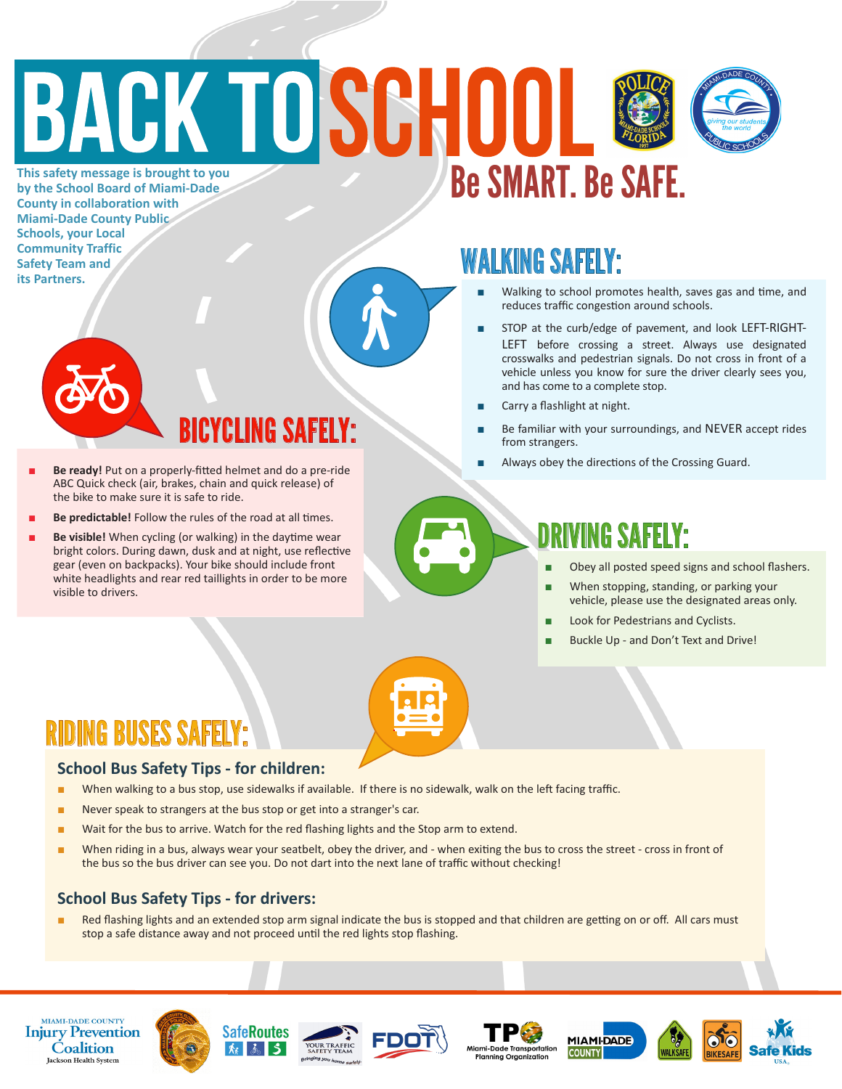## **BACK TOSCHOO** Be SMART. Be SAFE. **This safety message is brought to you**



**by the School Board of Miami-Dade County in collaboration with Miami-Dade County Public Schools, your Local Community Traffic Safety Team and its Partners.** 

## WALKING SAFELY:

- Walking to school promotes health, saves gas and time, and reduces traffic congestion around schools.
- STOP at the curb/edge of pavement, and look LEFT-RIGHT-LEFT before crossing a street. Always use designated crosswalks and pedestrian signals. Do not cross in front of a vehicle unless you know for sure the driver clearly sees you, and has come to a complete stop.
- Carry a flashlight at night.
- Be familiar with your surroundings, and NEVER accept rides from strangers.
- 



- NG SAFFLY<sup>.</sup>
- **Be ready!** Put on a properly-fitted helmet and do a pre-ride **■** Always obey the directions of the Crossing Guard. ABC Quick check (air, brakes, chain and quick release) of the bike to make sure it is safe to ride.
- Be predictable! Follow the rules of the road at all times.
- Be visible! When cycling (or walking) in the daytime wear bright colors. During dawn, dusk and at night, use reflective gear (even on backpacks). Your bike should include front white headlights and rear red taillights in order to be more visible to drivers.

### DRIVING SAFELY:

- Obey all posted speed signs and school flashers.
- When stopping, standing, or parking your vehicle, please use the designated areas only.
- Look for Pedestrians and Cyclists.
- Buckle Up and Don't Text and Drive!



## RIDING BUSES SAFELY:

#### **School Bus Safety Tips - for children:**

- When walking to a bus stop, use sidewalks if available. If there is no sidewalk, walk on the left facing traffic.
- Never speak to strangers at the bus stop or get into a stranger's car.
- Wait for the bus to arrive. Watch for the red flashing lights and the Stop arm to extend.
- When riding in a bus, always wear your seatbelt, obey the driver, and when exiting the bus to cross the street cross in front of the bus so the bus driver can see you. Do not dart into the next lane of traffic without checking!

### **School Bus Safety Tips - for drivers:**

Red flashing lights and an extended stop arm signal indicate the bus is stopped and that children are getting on or off. All cars must stop a safe distance away and not proceed until the red lights stop flashing.















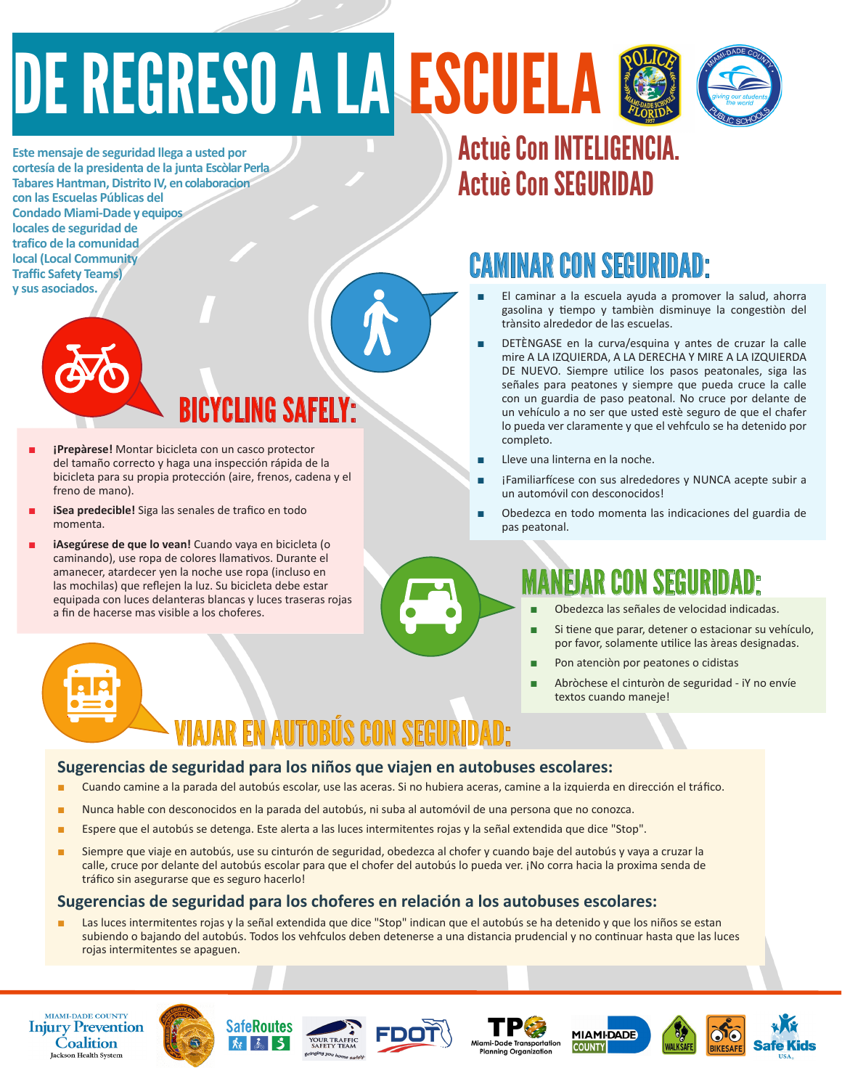## DE REGRESO A LA ESCUELA



**Este mensaje de seguridad llega a usted por cortesía de la presidenta de la junta Escòlar Perla Tabares Hantman, Distrito IV, en colaboracion con las Escuelas Públicas del Condado Miami-Dade y equipos locales de seguridad de trafico de la comunidad local (Local Community Traffic Safety Teams) y sus asociados.**



- BICYCLING SAFELY:
- *i*Prepàrese! Montar bicicleta con un casco protector del tamaño correcto y haga una inspección rápida de la bicicleta para su propia protección (aire, frenos, cadena y el freno de mano).
- **iSea predecible!** Siga las senales de trafico en todo momenta.
- iAsegúrese de que lo vean! Cuando vaya en bicicleta (o caminando), use ropa de colores llamativos. Durante el amanecer, atardecer yen la noche use ropa (incluso en las mochilas) que reflejen la luz. Su bicicleta debe estar equipada con luces delanteras blancas y luces traseras rojas a fin de hacerse mas visible a los choferes.

## Actuè Con INTELIGENCIA. Actuè Con SEGURIDAD

## CAMINAR CON SEGURIDAD:

- El caminar a la escuela ayuda a promover la salud, ahorra gasolina y tiempo y tambièn disminuye la congestiòn del trànsito alrededor de las escuelas.
- DETÈNGASE en la curva/esquina y antes de cruzar la calle mire A LA IZQUIERDA, A LA DERECHA Y MIRE A LA IZQUIERDA DE NUEVO. Siempre utilice los pasos peatonales, siga las señales para peatones y siempre que pueda cruce la calle con un guardia de paso peatonal. No cruce por delante de un vehículo a no ser que usted estè seguro de que el chafer lo pueda ver claramente y que el vehfculo se ha detenido por completo.
- Lleve una linterna en la noche.
- iFamiliarfícese con sus alrededores y NUNCA acepte subir a un automóvil con desconocidos!
- Obedezca en todo momenta las indicaciones del guardia de pas peatonal.

## NEJAR CON SEGURI

- Obedezca las señales de velocidad indicadas.
- Si tiene que parar, detener o estacionar su vehículo, por favor, solamente utilice las àreas designadas.
- Pon atenciòn por peatones o cidistas
- Abròchese el cinturòn de seguridad iY no envíe textos cuando maneje!

## VIAJAR EN AUTOBÚS CON SEGURIDAD:

#### **Sugerencias de seguridad para los niños que viajen en autobuses escolares:**

- Cuando camine a la parada del autobús escolar, use las aceras. Si no hubiera aceras, camine a la izquierda en dirección el tráfico.
- Nunca hable con desconocidos en la parada del autobús, ni suba al automóvil de una persona que no conozca.
- Espere que el autobús se detenga. Este alerta a las luces intermitentes rojas y la señal extendida que dice "Stop".
- Siempre que viaje en autobús, use su cinturón de seguridad, obedezca al chofer y cuando baje del autobús y vaya a cruzar la calle, cruce por delante del autobús escolar para que el chofer del autobús lo pueda ver. ¡No corra hacia la proxima senda de tráfico sin asegurarse que es seguro hacerlo!

#### **Sugerencias de seguridad para los choferes en relación a los autobuses escolares:**

Las luces intermitentes rojas y la señal extendida que dice "Stop" indican que el autobús se ha detenido y que los niños se estan subiendo o bajando del autobús. Todos los vehfculos deben detenerse a una distancia prudencial y no continuar hasta que las luces rojas intermitentes se apaguen.

**MIAMI-DADE COUNTY Injury Prevention Coalition Jackson Health System**